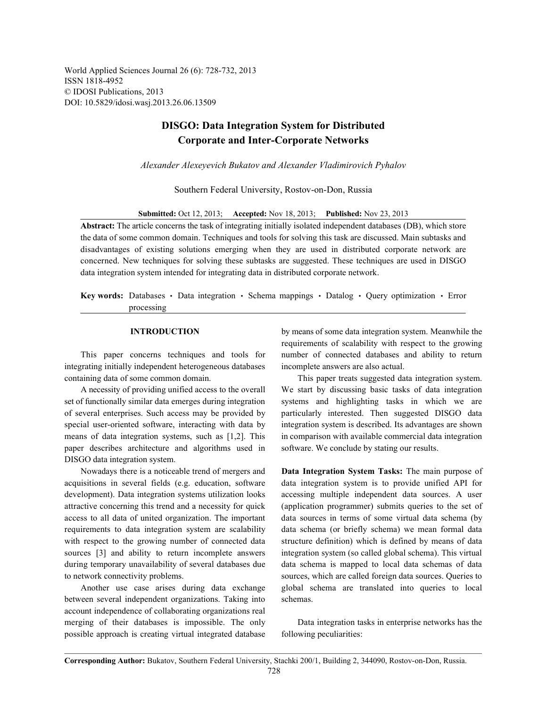World Applied Sciences Journal 26 (6): 728-732, 2013 ISSN 1818-4952 © IDOSI Publications, 2013 DOI: 10.5829/idosi.wasj.2013.26.06.13509

## **DISGO: Data Integration System for Distributed Corporate and Inter-Corporate Networks**

*Alexander Alexeyevich Bukatov and Alexander Vladimirovich Pyhalov*

Southern Federal University, Rostov-on-Don, Russia

**Submitted:** Oct 12, 2013; **Accepted:** Nov 18, 2013; **Published:** Nov 23, 2013

**Abstract:** The article concerns the task of integrating initially isolated independent databases (DB), which store the data of some common domain. Techniques and tools for solving this task are discussed. Main subtasks and disadvantages of existing solutions emerging when they are used in distributed corporate network are concerned. New techniques for solving these subtasks are suggested. These techniques are used in DISGO data integration system intended for integrating data in distributed corporate network.

**Key words:** Databases · Data integration · Schema mappings · Datalog · Query optimization · Error processing

integrating initially independent heterogeneous databases incomplete answers are also actual. containing data of some common domain. This paper treats suggested data integration system.

set of functionally similar data emerges during integration systems and highlighting tasks in which we are of several enterprises. Such access may be provided by particularly interested. Then suggested DISGO data special user-oriented software, interacting with data by integration system is described. Its advantages are shown means of data integration systems, such as [1,2]. This in comparison with available commercial data integration paper describes architecture and algorithms used in software. We conclude by stating our results. DISGO data integration system.

Nowadays there is a noticeable trend of mergers and **Data Integration System Tasks:** The main purpose of acquisitions in several fields (e.g. education, software data integration system is to provide unified API for development). Data integration systems utilization looks accessing multiple independent data sources. A user attractive concerning this trend and a necessity for quick (application programmer) submits queries to the set of access to all data of united organization. The important data sources in terms of some virtual data schema (by requirements to data integration system are scalability data schema (or briefly schema) we mean formal data with respect to the growing number of connected data structure definition) which is defined by means of data sources [3] and ability to return incomplete answers integration system (so called global schema). This virtual during temporary unavailability of several databases due data schema is mapped to local data schemas of data to network connectivity problems. sources, which are called foreign data sources. Queries to

between several independent organizations. Taking into schemas. account independence of collaborating organizations real merging of their databases is impossible. The only Data integration tasks in enterprise networks has the possible approach is creating virtual integrated database following peculiarities:

**INTRODUCTION** by means of some data integration system. Meanwhile the This paper concerns techniques and tools for number of connected databases and ability to return requirements of scalability with respect to the growing

A necessity of providing unified access to the overall We start by discussing basic tasks of data integration

Another use case arises during data exchange global schema are translated into queries to local

**Corresponding Author:** Bukatov, Southern Federal University, Stachki 200/1, Building 2, 344090, Rostov-on-Don, Russia.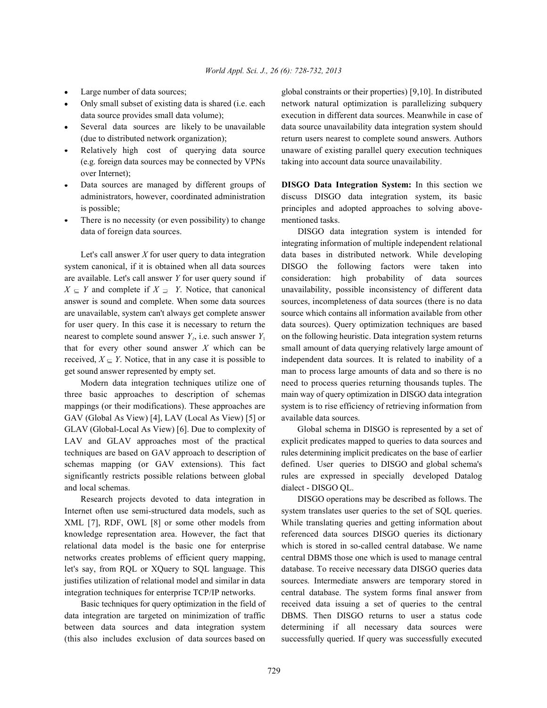- 
- 
- 
- (e.g. foreign data sources may be connected by VPNs taking into account data source unavailability. over Internet);
- 
- There is no necessity (or even possibility) to change mentioned tasks. data of foreign data sources. DISGO data integration system is intended for

system canonical, if it is obtained when all data sources DISGO the following factors were taken into are available. Let's call answer *Y* for user query sound if consideration: high probability of data sources  $X \subseteq Y$  and complete if  $X \supseteq Y$ . Notice, that canonical unavailability, possible inconsistency of different data answer is sound and complete. When some data sources sources, incompleteness of data sources (there is no data are unavailable, system can't always get complete answer source which contains all information available from other for user query. In this case it is necessary to return the data sources). Query optimization techniques are based nearest to complete sound answer  $Y_1$ , i.e. such answer  $Y_1$  on the following heuristic. Data integration system returns that for every other sound answer *X* which can be small amount of data querying relatively large amount of received,  $X \subseteq Y$ . Notice, that in any case it is possible to independent data sources. It is related to inability of a get sound answer represented by empty set. man to process large amounts of data and so there is no

three basic approaches to description of schemas main way of query optimization in DISGO data integration mappings (or their modifications). These approaches are system is to rise efficiency of retrieving information from GAV (Global As View) [4], LAV (Local As View) [5] or available data sources. GLAV (Global-Local As View) [6]. Due to complexity of Global schema in DISGO is represented by a set of LAV and GLAV approaches most of the practical explicit predicates mapped to queries to data sources and techniques are based on GAV approach to description of rules determining implicit predicates on the base of earlier schemas mapping (or GAV extensions). This fact defined. User queries to DISGO and global schema's significantly restricts possible relations between global rules are expressed in specially developed Datalog and local schemas. dialect - DISGO QL.

Internet often use semi-structured data models, such as system translates user queries to the set of SQL queries. XML [7], RDF, OWL [8] or some other models from While translating queries and getting information about knowledge representation area. However, the fact that referenced data sources DISGO queries its dictionary relational data model is the basic one for enterprise which is stored in so-called central database. We name networks creates problems of efficient query mapping, central DBMS those one which is used to manage central let's say, from RQL or XQuery to SQL language. This database. To receive necessary data DISGO queries data justifies utilization of relational model and similar in data sources. Intermediate answers are temporary stored in integration techniques for enterprise TCP/IP networks. central database. The system forms final answer from

data integration are targeted on minimization of traffic DBMS. Then DISGO returns to user a status code between data sources and data integration system determining if all necessary data sources were (this also includes exclusion of data sources based on successfully queried. If query was successfully executed

Large number of data sources; global constraints or their properties) [9,10]. In distributed Only small subset of existing data is shared (i.e. each network natural optimization is parallelizing subquery data source provides small data volume); execution in different data sources. Meanwhile in case of Several data sources are likely to be unavailable data source unavailability data integration system should (due to distributed network organization); return users nearest to complete sound answers. Authors Relatively high cost of querying data source unaware of existing parallel query execution techniques

Data sources are managed by different groups of **DISGO Data Integration System:** In this section we administrators, however, coordinated administration discuss DISGO data integration system, its basic is possible; examples and adopted approaches to solving above-

Let's call answer *X* for user query to data integration data bases in distributed network. While developing Modern data integration techniques utilize one of need to process queries returning thousands tuples. The integrating information of multiple independent relational

Research projects devoted to data integration in DISGO operations may be described as follows. The Basic techniques for query optimization in the field of received data issuing a set of queries to the central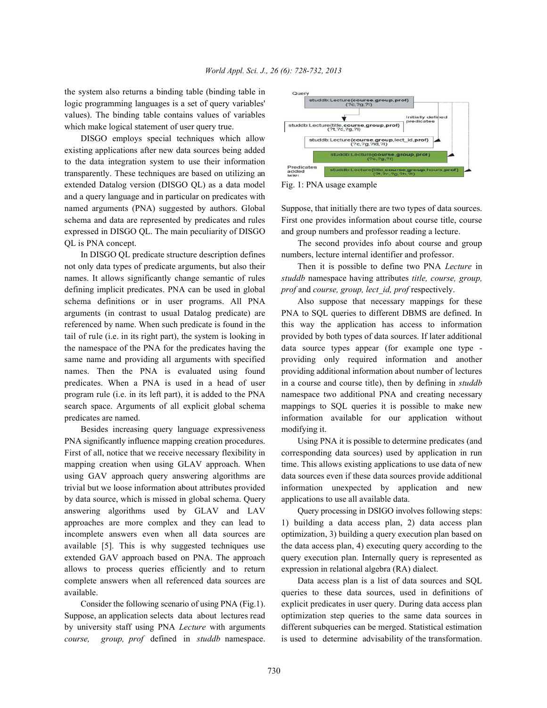the system also returns a binding table (binding table in logic programming languages is a set of query variables' values). The binding table contains values of variables which make logical statement of user query true.

DISGO employs special techniques which allow existing applications after new data sources being added to the data integration system to use their information transparently. These techniques are based on utilizing an extended Datalog version (DISGO QL) as a data model Fig. 1: PNA usage example and a query language and in particular on predicates with named arguments (PNA) suggested by authors. Global Suppose, that initially there are two types of data sources. schema and data are represented by predicates and rules First one provides information about course title, course expressed in DISGO QL. The main peculiarity of DISGO and group numbers and professor reading a lecture. QL is PNA concept. The second provides info about course and group

not only data types of predicate arguments, but also their Then it is possible to define two PNA *Lecture* in names. It allows significantly change semantic of rules *studdb* namespace having attributes *title, course, group,* defining implicit predicates. PNA can be used in global *prof* and *course, group, lect\_id, prof* respectively. schema definitions or in user programs. All PNA Also suppose that necessary mappings for these arguments (in contrast to usual Datalog predicate) are PNA to SQL queries to different DBMS are defined. In referenced by name. When such predicate is found in the this way the application has access to information tail of rule (i.e. in its right part), the system is looking in provided by both types of data sources. If later additional the namespace of the PNA for the predicates having the data source types appear (for example one type same name and providing all arguments with specified providing only required information and another names. Then the PNA is evaluated using found providing additional information about number of lectures predicates. When a PNA is used in a head of user in a course and course title), then by defining in *studdb* program rule (i.e. in its left part), it is added to the PNA namespace two additional PNA and creating necessary search space. Arguments of all explicit global schema mappings to SQL queries it is possible to make new predicates are named. information available for our application without

Besides increasing query language expressiveness modifying it. PNA significantly influence mapping creation procedures. Using PNA it is possible to determine predicates (and First of all, notice that we receive necessary flexibility in corresponding data sources) used by application in run mapping creation when using GLAV approach. When time. This allows existing applications to use data of new using GAV approach query answering algorithms are data sources even if these data sources provide additional trivial but we loose information about attributes provided information unexpected by application and new by data source, which is missed in global schema. Query applications to use all available data. answering algorithms used by GLAV and LAV Query processing in DSIGO involves following steps: approaches are more complex and they can lead to 1) building a data access plan, 2) data access plan incomplete answers even when all data sources are optimization, 3) building a query execution plan based on available [5]. This is why suggested techniques use the data access plan, 4) executing query according to the extended GAV approach based on PNA. The approach query execution plan. Internally query is represented as allows to process queries efficiently and to return expression in relational algebra (RA) dialect. complete answers when all referenced data sources are Data access plan is a list of data sources and SQL available. queries to these data sources, used in definitions of

Suppose, an application selects data about lectures read optimization step queries to the same data sources in by university staff using PNA *Lecture* with arguments different subqueries can be merged. Statistical estimation *course, group, prof* defined in *studdb* namespace. is used to determine advisability of the transformation.



In DISGO OL predicate structure description defines numbers, lecture internal identifier and professor.

Consider the following scenario of using PNA (Fig.1). explicit predicates in user query. During data access plan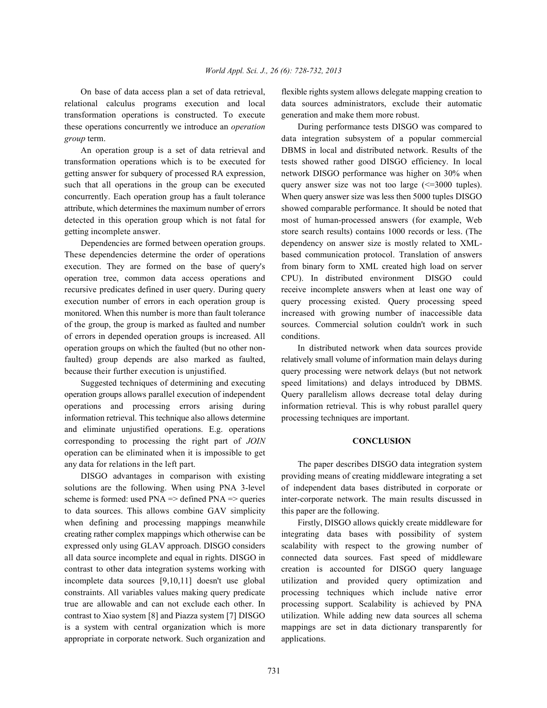relational calculus programs execution and local data sources administrators, exclude their automatic transformation operations is constructed. To execute generation and make them more robust. these operations concurrently we introduce an *operation* During performance tests DISGO was compared to *group* term. **data integration** subsystem of a popular commercial

transformation operations which is to be executed for tests showed rather good DISGO efficiency. In local getting answer for subquery of processed RA expression, network DISGO performance was higher on 30% when such that all operations in the group can be executed query answer size was not too large  $\ll$ =3000 tuples). concurrently. Each operation group has a fault tolerance When query answer size was less then 5000 tuples DISGO attribute, which determines the maximum number of errors showed comparable performance. It should be noted that detected in this operation group which is not fatal for most of human-processed answers (for example, Web getting incomplete answer. store search results) contains 1000 records or less. (The

These dependencies determine the order of operations based communication protocol. Translation of answers execution. They are formed on the base of query's from binary form to XML created high load on server operation tree, common data access operations and CPU). In distributed environment DISGO could recursive predicates defined in user query. During query receive incomplete answers when at least one way of execution number of errors in each operation group is query processing existed. Query processing speed monitored. When this number is more than fault tolerance increased with growing number of inaccessible data of the group, the group is marked as faulted and number sources. Commercial solution couldn't work in such of errors in depended operation groups is increased. All conditions. operation groups on which the faulted (but no other non- In distributed network when data sources provide faulted) group depends are also marked as faulted, relatively small volume of information main delays during because their further execution is unjustified. query processing were network delays (but not network

operation groups allows parallel execution of independent Query parallelism allows decrease total delay during operations and processing errors arising during information retrieval. This is why robust parallel query information retrieval. This technique also allows determine processing techniques are important. and eliminate unjustified operations. E.g. operations corresponding to processing the right part of *JOIN* **CONCLUSION** operation can be eliminated when it is impossible to get any data for relations in the left part. The paper describes DISGO data integration system

solutions are the following. When using PNA 3-level of independent data bases distributed in corporate or scheme is formed: used  $PNA \Rightarrow$  defined  $PNA \Rightarrow$  queries inter-corporate network. The main results discussed in to data sources. This allows combine GAV simplicity this paper are the following. when defining and processing mappings meanwhile Firstly, DISGO allows quickly create middleware for creating rather complex mappings which otherwise can be integrating data bases with possibility of system all data source incomplete and equal in rights. DISGO in connected data sources. Fast speed of middleware contrast to other data integration systems working with creation is accounted for DISGO query language incomplete data sources [9,10,11] doesn't use global utilization and provided query optimization and constraints. All variables values making query predicate processing techniques which include native error true are allowable and can not exclude each other. In processing support. Scalability is achieved by PNA contrast to Xiao system [8] and Piazza system [7] DISGO utilization. While adding new data sources all schema is a system with central organization which is more mappings are set in data dictionary transparently for appropriate in corporate network. Such organization and applications.

On base of data access plan a set of data retrieval, flexible rights system allows delegate mapping creation to

An operation group is a set of data retrieval and DBMS in local and distributed network. Results of the Dependencies are formed between operation groups. dependency on answer size is mostly related to XML-

Suggested techniques of determining and executing speed limitations) and delays introduced by DBMS.

DISGO advantages in comparison with existing providing means of creating middleware integrating a set

expressed only using GLAV approach. DISGO considers scalability with respect to the growing number of